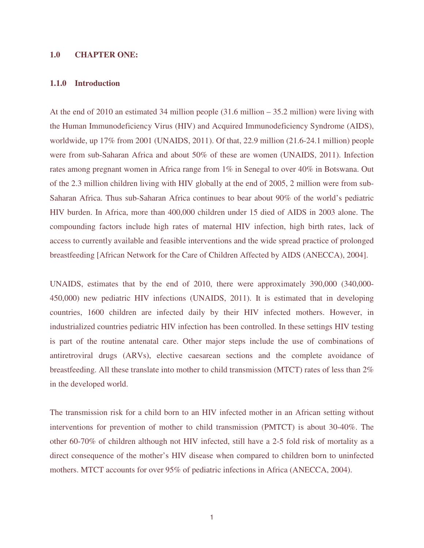#### **1.0 CHAPTER ONE:**

#### **1.1.0 Introduction**

At the end of 2010 an estimated 34 million people  $(31.6 \text{ million} - 35.2 \text{ million})$  were living with the Human Immunodeficiency Virus (HIV) and Acquired Immunodeficiency Syndrome (AIDS), worldwide, up 17% from 2001 (UNAIDS, 2011). Of that, 22.9 million (21.6-24.1 million) people were from sub-Saharan Africa and about 50% of these are women (UNAIDS, 2011). Infection rates among pregnant women in Africa range from 1% in Senegal to over 40% in Botswana. Out of the 2.3 million children living with HIV globally at the end of 2005, 2 million were from sub-Saharan Africa. Thus sub-Saharan Africa continues to bear about 90% of the world's pediatric HIV burden. In Africa, more than 400,000 children under 15 died of AIDS in 2003 alone. The compounding factors include high rates of maternal HIV infection, high birth rates, lack of access to currently available and feasible interventions and the wide spread practice of prolonged breastfeeding [African Network for the Care of Children Affected by AIDS (ANECCA), 2004].

UNAIDS, estimates that by the end of 2010, there were approximately 390,000 (340,000- 450,000) new pediatric HIV infections (UNAIDS, 2011). It is estimated that in developing countries, 1600 children are infected daily by their HIV infected mothers. However, in industrialized countries pediatric HIV infection has been controlled. In these settings HIV testing is part of the routine antenatal care. Other major steps include the use of combinations of antiretroviral drugs (ARVs), elective caesarean sections and the complete avoidance of breastfeeding. All these translate into mother to child transmission (MTCT) rates of less than 2% in the developed world.

The transmission risk for a child born to an HIV infected mother in an African setting without interventions for prevention of mother to child transmission (PMTCT) is about 30-40%. The other 60-70% of children although not HIV infected, still have a 2-5 fold risk of mortality as a direct consequence of the mother's HIV disease when compared to children born to uninfected mothers. MTCT accounts for over 95% of pediatric infections in Africa (ANECCA, 2004).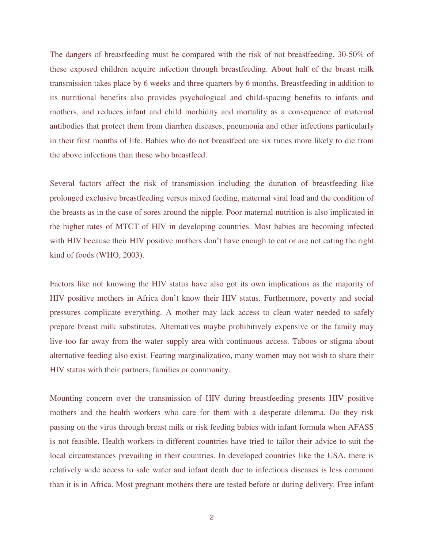The dangers of breastfeeding must be compared with the risk of not breastfeeding. 30-50% of these exposed children acquire infection through breastfeeding. About half of the breast milk transmission takes place by 6 weeks and three quarters by 6 months. Breastfeeding in addition to its nutritional benefits also provides psychological and child-spacing benefits to infants and mothers, and reduces infant and child morbidity and mortality as a consequence of maternal antibodies that protect them from diarrhea diseases, pneumonia and other infections particularly in their first months of life. Babies who do not breastfeed are six times more likely to die from the above infections than those who breastfeed.

Several factors affect the risk of transmission including the duration of breastfeeding like prolonged exclusive breastfeeding versus mixed feeding, maternal viral load and the condition of the breasts as in the case of sores around the nipple. Poor maternal nutrition is also implicated in the higher rates of MTCT of HIV in developing countries. Most babies are becoming infected with HIV because their HIV positive mothers don't have enough to eat or are not eating the right kind of foods (WHO, 2003).

Factors like not knowing the HIV status have also got its own implications as the majority of HIV positive mothers in Africa don't know their HIV status. Furthermore, poverty and social pressures complicate everything. A mother may lack access to clean water needed to safely prepare breast milk substitutes. Alternatives maybe prohibitively expensive or the family may live too far away from the water supply area with continuous access. Taboos or stigma about alternative feeding also exist. Fearing marginalization, many women may not wish to share their HIV status with their partners, families or community.

Mounting concern over the transmission of HIV during breastfeeding presents HIV positive mothers and the health workers who care for them with a desperate dilemma. Do they risk passing on the virus through breast milk or risk feeding babies with infant formula when AFASS is not feasible. Health workers in different countries have tried to tailor their advice to suit the local circumstances prevailing in their countries. In developed countries like the USA, there is relatively wide access to safe water and infant death due to infectious diseases is less common than it is in Africa. Most pregnant mothers there are tested before or during delivery. Free infant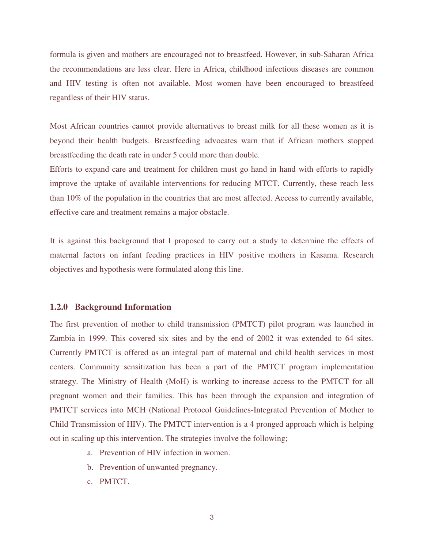formula is given and mothers are encouraged not to breastfeed. However, in sub-Saharan Africa the recommendations are less clear. Here in Africa, childhood infectious diseases are common and HIV testing is often not available. Most women have been encouraged to breastfeed regardless of their HIV status.

Most African countries cannot provide alternatives to breast milk for all these women as it is beyond their health budgets. Breastfeeding advocates warn that if African mothers stopped breastfeeding the death rate in under 5 could more than double.

Efforts to expand care and treatment for children must go hand in hand with efforts to rapidly improve the uptake of available interventions for reducing MTCT. Currently, these reach less than 10% of the population in the countries that are most affected. Access to currently available, effective care and treatment remains a major obstacle.

It is against this background that I proposed to carry out a study to determine the effects of maternal factors on infant feeding practices in HIV positive mothers in Kasama. Research objectives and hypothesis were formulated along this line.

### **1.2.0 Background Information**

The first prevention of mother to child transmission (PMTCT) pilot program was launched in Zambia in 1999. This covered six sites and by the end of 2002 it was extended to 64 sites. Currently PMTCT is offered as an integral part of maternal and child health services in most centers. Community sensitization has been a part of the PMTCT program implementation strategy. The Ministry of Health (MoH) is working to increase access to the PMTCT for all pregnant women and their families. This has been through the expansion and integration of PMTCT services into MCH (National Protocol Guidelines-Integrated Prevention of Mother to Child Transmission of HIV). The PMTCT intervention is a 4 pronged approach which is helping out in scaling up this intervention. The strategies involve the following;

- a. Prevention of HIV infection in women.
- b. Prevention of unwanted pregnancy.
- c. PMTCT.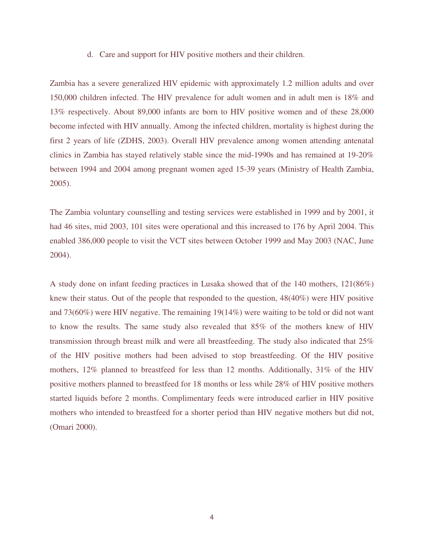d. Care and support for HIV positive mothers and their children.

Zambia has a severe generalized HIV epidemic with approximately 1.2 million adults and over 150,000 children infected. The HIV prevalence for adult women and in adult men is 18% and 13% respectively. About 89,000 infants are born to HIV positive women and of these 28,000 become infected with HIV annually. Among the infected children, mortality is highest during the first 2 years of life (ZDHS, 2003). Overall HIV prevalence among women attending antenatal clinics in Zambia has stayed relatively stable since the mid-1990s and has remained at 19-20% between 1994 and 2004 among pregnant women aged 15-39 years (Ministry of Health Zambia, 2005).

The Zambia voluntary counselling and testing services were established in 1999 and by 2001, it had 46 sites, mid 2003, 101 sites were operational and this increased to 176 by April 2004. This enabled 386,000 people to visit the VCT sites between October 1999 and May 2003 (NAC, June 2004).

A study done on infant feeding practices in Lusaka showed that of the 140 mothers, 121(86%) knew their status. Out of the people that responded to the question, 48(40%) were HIV positive and 73(60%) were HIV negative. The remaining 19(14%) were waiting to be told or did not want to know the results. The same study also revealed that 85% of the mothers knew of HIV transmission through breast milk and were all breastfeeding. The study also indicated that 25% of the HIV positive mothers had been advised to stop breastfeeding. Of the HIV positive mothers, 12% planned to breastfeed for less than 12 months. Additionally, 31% of the HIV positive mothers planned to breastfeed for 18 months or less while 28% of HIV positive mothers started liquids before 2 months. Complimentary feeds were introduced earlier in HIV positive mothers who intended to breastfeed for a shorter period than HIV negative mothers but did not, (Omari 2000).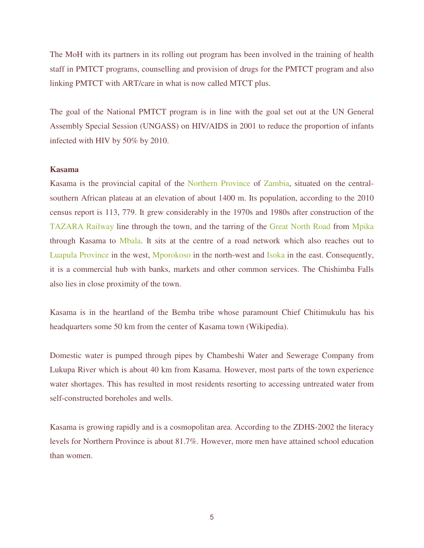The MoH with its partners in its rolling out program has been involved in the training of health staff in PMTCT programs, counselling and provision of drugs for the PMTCT program and also linking PMTCT with ART/care in what is now called MTCT plus.

The goal of the National PMTCT program is in line with the goal set out at the UN General Assembly Special Session (UNGASS) on HIV/AIDS in 2001 to reduce the proportion of infants infected with HIV by 50% by 2010.

#### **Kasama**

Kasama is the provincial capital of the Northern Province of Zambia, situated on the centralsouthern African plateau at an elevation of about 1400 m. Its population, according to the 2010 census report is 113, 779. It grew considerably in the 1970s and 1980s after construction of the TAZARA Railway line through the town, and the tarring of the Great North Road from Mpika through Kasama to Mbala. It sits at the centre of a road network which also reaches out to Luapula Province in the west, Mporokoso in the north-west and Isoka in the east. Consequently, it is a commercial hub with banks, markets and other common services. The Chishimba Falls also lies in close proximity of the town.

Kasama is in the heartland of the Bemba tribe whose paramount Chief Chitimukulu has his headquarters some 50 km from the center of Kasama town (Wikipedia).

Domestic water is pumped through pipes by Chambeshi Water and Sewerage Company from Lukupa River which is about 40 km from Kasama. However, most parts of the town experience water shortages. This has resulted in most residents resorting to accessing untreated water from self-constructed boreholes and wells.

Kasama is growing rapidly and is a cosmopolitan area. According to the ZDHS-2002 the literacy levels for Northern Province is about 81.7%. However, more men have attained school education than women.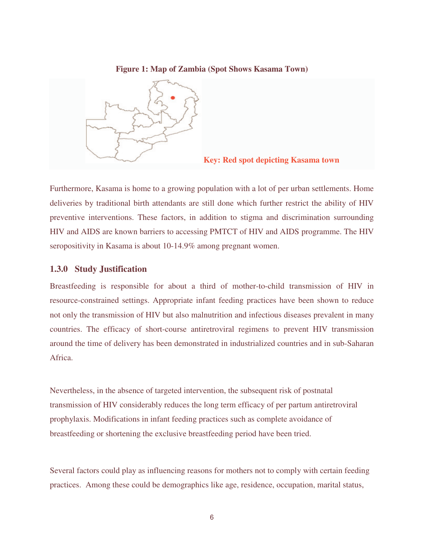## **Figure 1: Map of Zambia (Spot Shows Kasama Town)**



#### **Key: Red spot depicting Kasama town**

Furthermore, Kasama is home to a growing population with a lot of per urban settlements. Home deliveries by traditional birth attendants are still done which further restrict the ability of HIV preventive interventions. These factors, in addition to stigma and discrimination surrounding HIV and AIDS are known barriers to accessing PMTCT of HIV and AIDS programme. The HIV seropositivity in Kasama is about 10-14.9% among pregnant women.

### **1.3.0 Study Justification**

Breastfeeding is responsible for about a third of mother-to-child transmission of HIV in resource-constrained settings. Appropriate infant feeding practices have been shown to reduce not only the transmission of HIV but also malnutrition and infectious diseases prevalent in many countries. The efficacy of short-course antiretroviral regimens to prevent HIV transmission around the time of delivery has been demonstrated in industrialized countries and in sub-Saharan Africa.

Nevertheless, in the absence of targeted intervention, the subsequent risk of postnatal transmission of HIV considerably reduces the long term efficacy of per partum antiretroviral prophylaxis. Modifications in infant feeding practices such as complete avoidance of breastfeeding or shortening the exclusive breastfeeding period have been tried.

Several factors could play as influencing reasons for mothers not to comply with certain feeding practices. Among these could be demographics like age, residence, occupation, marital status,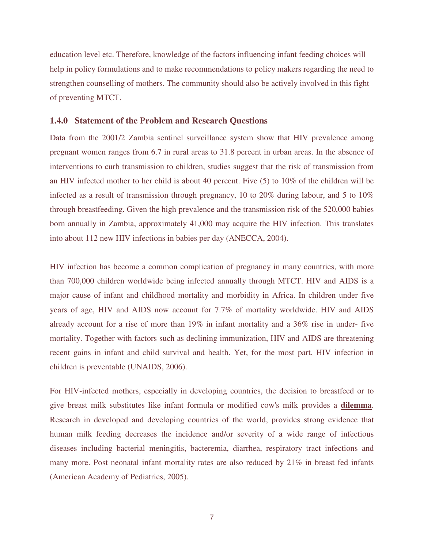education level etc. Therefore, knowledge of the factors influencing infant feeding choices will help in policy formulations and to make recommendations to policy makers regarding the need to strengthen counselling of mothers. The community should also be actively involved in this fight of preventing MTCT.

#### **1.4.0 Statement of the Problem and Research Questions**

Data from the 2001/2 Zambia sentinel surveillance system show that HIV prevalence among pregnant women ranges from 6.7 in rural areas to 31.8 percent in urban areas. In the absence of interventions to curb transmission to children, studies suggest that the risk of transmission from an HIV infected mother to her child is about 40 percent. Five (5) to 10% of the children will be infected as a result of transmission through pregnancy, 10 to 20% during labour, and 5 to  $10\%$ through breastfeeding. Given the high prevalence and the transmission risk of the 520,000 babies born annually in Zambia, approximately 41,000 may acquire the HIV infection. This translates into about 112 new HIV infections in babies per day (ANECCA, 2004).

HIV infection has become a common complication of pregnancy in many countries, with more than 700,000 children worldwide being infected annually through MTCT. HIV and AIDS is a major cause of infant and childhood mortality and morbidity in Africa. In children under five years of age, HIV and AIDS now account for 7.7% of mortality worldwide. HIV and AIDS already account for a rise of more than 19% in infant mortality and a 36% rise in under- five mortality. Together with factors such as declining immunization, HIV and AIDS are threatening recent gains in infant and child survival and health. Yet, for the most part, HIV infection in children is preventable (UNAIDS, 2006).

For HIV-infected mothers, especially in developing countries, the decision to breastfeed or to give breast milk substitutes like infant formula or modified cow's milk provides a **dilemma**. Research in developed and developing countries of the world, provides strong evidence that human milk feeding decreases the incidence and/or severity of a wide range of infectious diseases including bacterial meningitis, bacteremia, diarrhea, respiratory tract infections and many more. Post neonatal infant mortality rates are also reduced by 21% in breast fed infants (American Academy of Pediatrics, 2005).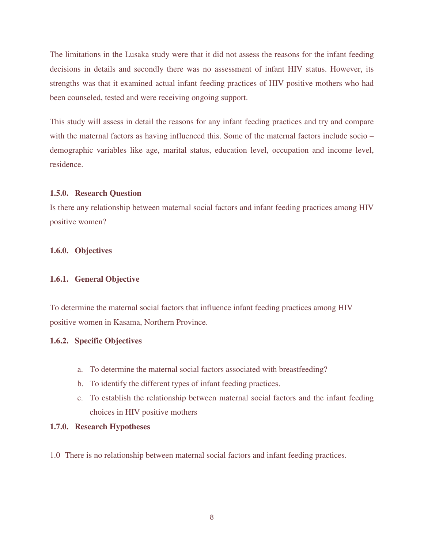The limitations in the Lusaka study were that it did not assess the reasons for the infant feeding decisions in details and secondly there was no assessment of infant HIV status. However, its strengths was that it examined actual infant feeding practices of HIV positive mothers who had been counseled, tested and were receiving ongoing support.

This study will assess in detail the reasons for any infant feeding practices and try and compare with the maternal factors as having influenced this. Some of the maternal factors include socio – demographic variables like age, marital status, education level, occupation and income level, residence.

### **1.5.0. Research Question**

Is there any relationship between maternal social factors and infant feeding practices among HIV positive women?

### **1.6.0. Objectives**

#### **1.6.1. General Objective**

To determine the maternal social factors that influence infant feeding practices among HIV positive women in Kasama, Northern Province.

### **1.6.2. Specific Objectives**

- a. To determine the maternal social factors associated with breastfeeding?
- b. To identify the different types of infant feeding practices.
- c. To establish the relationship between maternal social factors and the infant feeding choices in HIV positive mothers

### **1.7.0. Research Hypotheses**

1.0 There is no relationship between maternal social factors and infant feeding practices.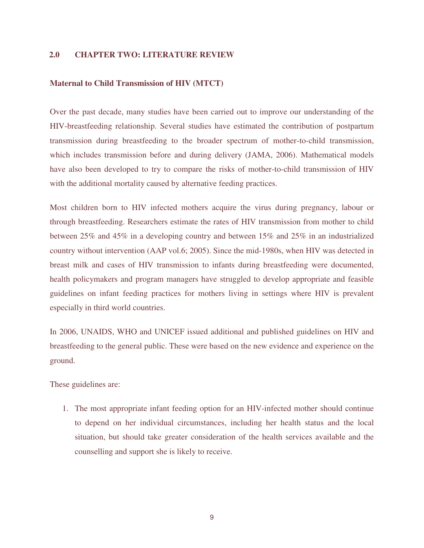### **2.0 CHAPTER TWO: LITERATURE REVIEW**

#### **Maternal to Child Transmission of HIV (MTCT)**

Over the past decade, many studies have been carried out to improve our understanding of the HIV-breastfeeding relationship. Several studies have estimated the contribution of postpartum transmission during breastfeeding to the broader spectrum of mother-to-child transmission, which includes transmission before and during delivery (JAMA, 2006). Mathematical models have also been developed to try to compare the risks of mother-to-child transmission of HIV with the additional mortality caused by alternative feeding practices.

Most children born to HIV infected mothers acquire the virus during pregnancy, labour or through breastfeeding. Researchers estimate the rates of HIV transmission from mother to child between 25% and 45% in a developing country and between 15% and 25% in an industrialized country without intervention (AAP vol.6; 2005). Since the mid-1980s, when HIV was detected in breast milk and cases of HIV transmission to infants during breastfeeding were documented, health policymakers and program managers have struggled to develop appropriate and feasible guidelines on infant feeding practices for mothers living in settings where HIV is prevalent especially in third world countries.

In 2006, UNAIDS, WHO and UNICEF issued additional and published guidelines on HIV and breastfeeding to the general public. These were based on the new evidence and experience on the ground.

These guidelines are:

1. The most appropriate infant feeding option for an HIV-infected mother should continue to depend on her individual circumstances, including her health status and the local situation, but should take greater consideration of the health services available and the counselling and support she is likely to receive.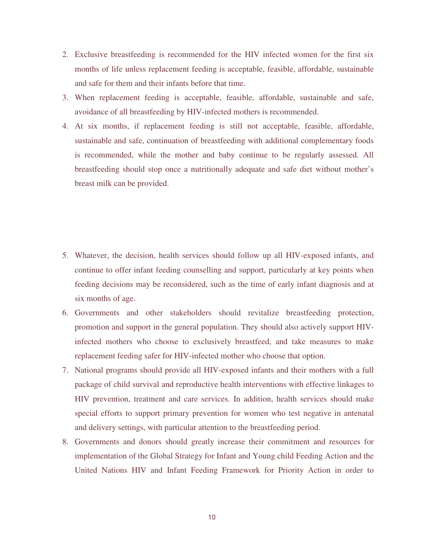- 2. Exclusive breastfeeding is recommended for the HIV infected women for the first six months of life unless replacement feeding is acceptable, feasible, affordable, sustainable and safe for them and their infants before that time.
- 3. When replacement feeding is acceptable, feasible, affordable, sustainable and safe, avoidance of all breastfeeding by HIV-infected mothers is recommended.
- 4. At six months, if replacement feeding is still not acceptable, feasible, affordable, sustainable and safe, continuation of breastfeeding with additional complementary foods is recommended, while the mother and baby continue to be regularly assessed. All breastfeeding should stop once a nutritionally adequate and safe diet without mother's breast milk can be provided.

- 5. Whatever, the decision, health services should follow up all HIV-exposed infants, and continue to offer infant feeding counselling and support, particularly at key points when feeding decisions may be reconsidered, such as the time of early infant diagnosis and at six months of age.
- 6. Governments and other stakeholders should revitalize breastfeeding protection, promotion and support in the general population. They should also actively support HIVinfected mothers who choose to exclusively breastfeed, and take measures to make replacement feeding safer for HIV-infected mother who choose that option.
- 7. National programs should provide all HIV-exposed infants and their mothers with a full package of child survival and reproductive health interventions with effective linkages to HIV prevention, treatment and care services. In addition, health services should make special efforts to support primary prevention for women who test negative in antenatal and delivery settings, with particular attention to the breastfeeding period.
- 8. Governments and donors should greatly increase their commitment and resources for implementation of the Global Strategy for Infant and Young child Feeding Action and the United Nations HIV and Infant Feeding Framework for Priority Action in order to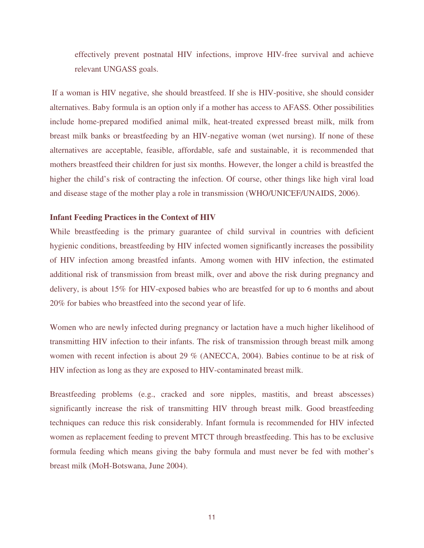effectively prevent postnatal HIV infections, improve HIV-free survival and achieve relevant UNGASS goals.

 If a woman is HIV negative, she should breastfeed. If she is HIV-positive, she should consider alternatives. Baby formula is an option only if a mother has access to AFASS. Other possibilities include home-prepared modified animal milk, heat-treated expressed breast milk, milk from breast milk banks or breastfeeding by an HIV-negative woman (wet nursing). If none of these alternatives are acceptable, feasible, affordable, safe and sustainable, it is recommended that mothers breastfeed their children for just six months. However, the longer a child is breastfed the higher the child's risk of contracting the infection. Of course, other things like high viral load and disease stage of the mother play a role in transmission (WHO/UNICEF/UNAIDS, 2006).

#### **Infant Feeding Practices in the Context of HIV**

While breastfeeding is the primary guarantee of child survival in countries with deficient hygienic conditions, breastfeeding by HIV infected women significantly increases the possibility of HIV infection among breastfed infants. Among women with HIV infection, the estimated additional risk of transmission from breast milk, over and above the risk during pregnancy and delivery, is about 15% for HIV-exposed babies who are breastfed for up to 6 months and about 20% for babies who breastfeed into the second year of life.

Women who are newly infected during pregnancy or lactation have a much higher likelihood of transmitting HIV infection to their infants. The risk of transmission through breast milk among women with recent infection is about 29 % (ANECCA, 2004). Babies continue to be at risk of HIV infection as long as they are exposed to HIV-contaminated breast milk.

Breastfeeding problems (e.g., cracked and sore nipples, mastitis, and breast abscesses) significantly increase the risk of transmitting HIV through breast milk. Good breastfeeding techniques can reduce this risk considerably. Infant formula is recommended for HIV infected women as replacement feeding to prevent MTCT through breastfeeding. This has to be exclusive formula feeding which means giving the baby formula and must never be fed with mother's breast milk (MoH-Botswana, June 2004).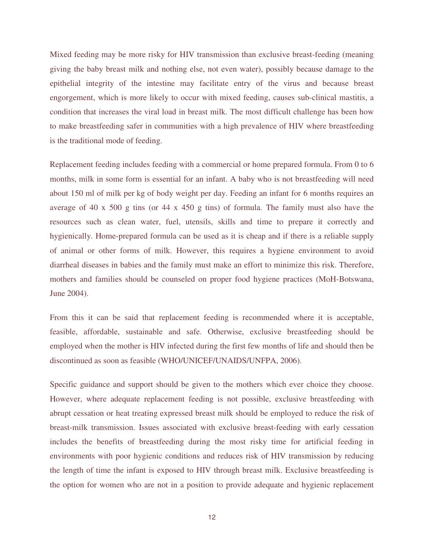Mixed feeding may be more risky for HIV transmission than exclusive breast-feeding (meaning giving the baby breast milk and nothing else, not even water), possibly because damage to the epithelial integrity of the intestine may facilitate entry of the virus and because breast engorgement, which is more likely to occur with mixed feeding, causes sub-clinical mastitis, a condition that increases the viral load in breast milk. The most difficult challenge has been how to make breastfeeding safer in communities with a high prevalence of HIV where breastfeeding is the traditional mode of feeding.

Replacement feeding includes feeding with a commercial or home prepared formula. From 0 to 6 months, milk in some form is essential for an infant. A baby who is not breastfeeding will need about 150 ml of milk per kg of body weight per day. Feeding an infant for 6 months requires an average of 40 x 500 g tins (or 44 x 450 g tins) of formula. The family must also have the resources such as clean water, fuel, utensils, skills and time to prepare it correctly and hygienically. Home-prepared formula can be used as it is cheap and if there is a reliable supply of animal or other forms of milk. However, this requires a hygiene environment to avoid diarrheal diseases in babies and the family must make an effort to minimize this risk. Therefore, mothers and families should be counseled on proper food hygiene practices (MoH-Botswana, June 2004).

From this it can be said that replacement feeding is recommended where it is acceptable, feasible, affordable, sustainable and safe. Otherwise, exclusive breastfeeding should be employed when the mother is HIV infected during the first few months of life and should then be discontinued as soon as feasible (WHO/UNICEF/UNAIDS/UNFPA, 2006).

Specific guidance and support should be given to the mothers which ever choice they choose. However, where adequate replacement feeding is not possible, exclusive breastfeeding with abrupt cessation or heat treating expressed breast milk should be employed to reduce the risk of breast-milk transmission. Issues associated with exclusive breast-feeding with early cessation includes the benefits of breastfeeding during the most risky time for artificial feeding in environments with poor hygienic conditions and reduces risk of HIV transmission by reducing the length of time the infant is exposed to HIV through breast milk. Exclusive breastfeeding is the option for women who are not in a position to provide adequate and hygienic replacement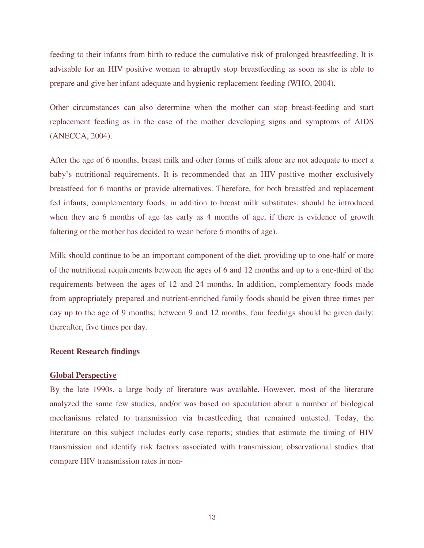feeding to their infants from birth to reduce the cumulative risk of prolonged breastfeeding. It is advisable for an HIV positive woman to abruptly stop breastfeeding as soon as she is able to prepare and give her infant adequate and hygienic replacement feeding (WHO, 2004).

Other circumstances can also determine when the mother can stop breast-feeding and start replacement feeding as in the case of the mother developing signs and symptoms of AIDS (ANECCA, 2004).

After the age of 6 months, breast milk and other forms of milk alone are not adequate to meet a baby's nutritional requirements. It is recommended that an HIV-positive mother exclusively breastfeed for 6 months or provide alternatives. Therefore, for both breastfed and replacement fed infants, complementary foods, in addition to breast milk substitutes, should be introduced when they are 6 months of age (as early as 4 months of age, if there is evidence of growth faltering or the mother has decided to wean before 6 months of age).

Milk should continue to be an important component of the diet, providing up to one-half or more of the nutritional requirements between the ages of 6 and 12 months and up to a one-third of the requirements between the ages of 12 and 24 months. In addition, complementary foods made from appropriately prepared and nutrient-enriched family foods should be given three times per day up to the age of 9 months; between 9 and 12 months, four feedings should be given daily; thereafter, five times per day.

#### **Recent Research findings**

#### **Global Perspective**

By the late 1990s, a large body of literature was available. However, most of the literature analyzed the same few studies, and/or was based on speculation about a number of biological mechanisms related to transmission via breastfeeding that remained untested. Today, the literature on this subject includes early case reports; studies that estimate the timing of HIV transmission and identify risk factors associated with transmission; observational studies that compare HIV transmission rates in non-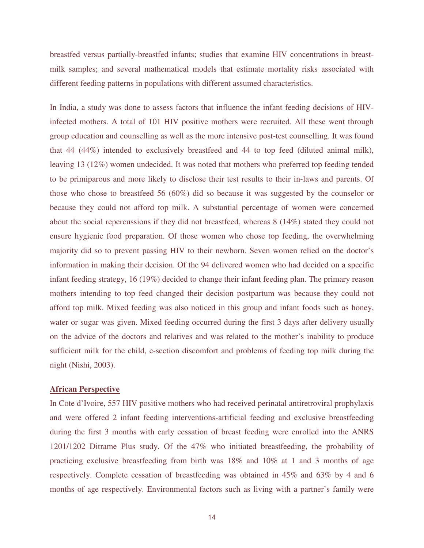breastfed versus partially-breastfed infants; studies that examine HIV concentrations in breastmilk samples; and several mathematical models that estimate mortality risks associated with different feeding patterns in populations with different assumed characteristics.

In India, a study was done to assess factors that influence the infant feeding decisions of HIVinfected mothers. A total of 101 HIV positive mothers were recruited. All these went through group education and counselling as well as the more intensive post-test counselling. It was found that 44 (44%) intended to exclusively breastfeed and 44 to top feed (diluted animal milk), leaving 13 (12%) women undecided. It was noted that mothers who preferred top feeding tended to be primiparous and more likely to disclose their test results to their in-laws and parents. Of those who chose to breastfeed 56 (60%) did so because it was suggested by the counselor or because they could not afford top milk. A substantial percentage of women were concerned about the social repercussions if they did not breastfeed, whereas 8 (14%) stated they could not ensure hygienic food preparation. Of those women who chose top feeding, the overwhelming majority did so to prevent passing HIV to their newborn. Seven women relied on the doctor's information in making their decision. Of the 94 delivered women who had decided on a specific infant feeding strategy, 16 (19%) decided to change their infant feeding plan. The primary reason mothers intending to top feed changed their decision postpartum was because they could not afford top milk. Mixed feeding was also noticed in this group and infant foods such as honey, water or sugar was given. Mixed feeding occurred during the first 3 days after delivery usually on the advice of the doctors and relatives and was related to the mother's inability to produce sufficient milk for the child, c-section discomfort and problems of feeding top milk during the night (Nishi, 2003).

#### **African Perspective**

In Cote d'Ivoire, 557 HIV positive mothers who had received perinatal antiretroviral prophylaxis and were offered 2 infant feeding interventions-artificial feeding and exclusive breastfeeding during the first 3 months with early cessation of breast feeding were enrolled into the ANRS 1201/1202 Ditrame Plus study. Of the 47% who initiated breastfeeding, the probability of practicing exclusive breastfeeding from birth was 18% and 10% at 1 and 3 months of age respectively. Complete cessation of breastfeeding was obtained in 45% and 63% by 4 and 6 months of age respectively. Environmental factors such as living with a partner's family were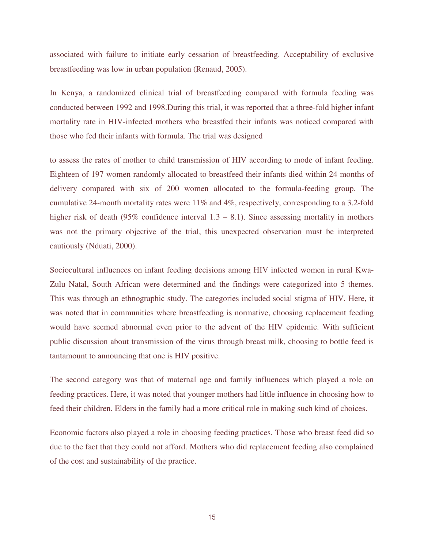associated with failure to initiate early cessation of breastfeeding. Acceptability of exclusive breastfeeding was low in urban population (Renaud, 2005).

In Kenya, a randomized clinical trial of breastfeeding compared with formula feeding was conducted between 1992 and 1998.During this trial, it was reported that a three-fold higher infant mortality rate in HIV-infected mothers who breastfed their infants was noticed compared with those who fed their infants with formula. The trial was designed

to assess the rates of mother to child transmission of HIV according to mode of infant feeding. Eighteen of 197 women randomly allocated to breastfeed their infants died within 24 months of delivery compared with six of 200 women allocated to the formula-feeding group. The cumulative 24-month mortality rates were 11% and 4%, respectively, corresponding to a 3.2-fold higher risk of death (95% confidence interval  $1.3 - 8.1$ ). Since assessing mortality in mothers was not the primary objective of the trial, this unexpected observation must be interpreted cautiously (Nduati, 2000).

Sociocultural influences on infant feeding decisions among HIV infected women in rural Kwa-Zulu Natal, South African were determined and the findings were categorized into 5 themes. This was through an ethnographic study. The categories included social stigma of HIV. Here, it was noted that in communities where breastfeeding is normative, choosing replacement feeding would have seemed abnormal even prior to the advent of the HIV epidemic. With sufficient public discussion about transmission of the virus through breast milk, choosing to bottle feed is tantamount to announcing that one is HIV positive.

The second category was that of maternal age and family influences which played a role on feeding practices. Here, it was noted that younger mothers had little influence in choosing how to feed their children. Elders in the family had a more critical role in making such kind of choices.

Economic factors also played a role in choosing feeding practices. Those who breast feed did so due to the fact that they could not afford. Mothers who did replacement feeding also complained of the cost and sustainability of the practice.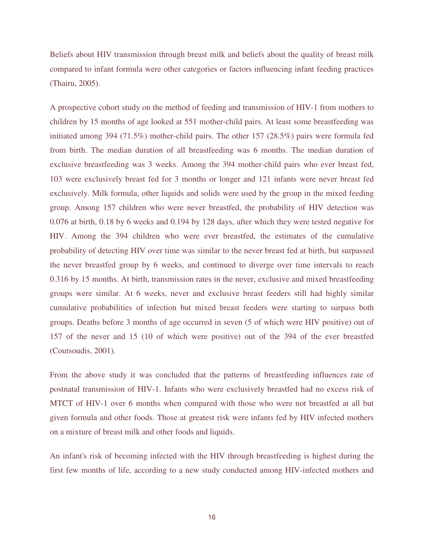Beliefs about HIV transmission through breast milk and beliefs about the quality of breast milk compared to infant formula were other categories or factors influencing infant feeding practices (Thairu, 2005).

A prospective cohort study on the method of feeding and transmission of HIV-1 from mothers to children by 15 months of age looked at 551 mother-child pairs. At least some breastfeeding was initiated among 394 (71.5%) mother-child pairs. The other 157 (28.5%) pairs were formula fed from birth. The median duration of all breastfeeding was 6 months. The median duration of exclusive breastfeeding was 3 weeks. Among the 394 mother-child pairs who ever breast fed, 103 were exclusively breast fed for 3 months or longer and 121 infants were never breast fed exclusively. Milk formula, other liquids and solids were used by the group in the mixed feeding group. Among 157 children who were never breastfed, the probability of HIV detection was 0.076 at birth, 0.18 by 6 weeks and 0.194 by 128 days, after which they were tested negative for HIV. Among the 394 children who were ever breastfed, the estimates of the cumulative probability of detecting HIV over time was similar to the never breast fed at birth, but surpassed the never breastfed group by 6 weeks, and continued to diverge over time intervals to reach 0.316 by 15 months. At birth, transmission rates in the never, exclusive and mixed breastfeeding groups were similar. At 6 weeks, never and exclusive breast feeders still had highly similar cumulative probabilities of infection but mixed breast feeders were starting to surpass both groups. Deaths before 3 months of age occurred in seven (5 of which were HIV positive) out of 157 of the never and 15 (10 of which were positive) out of the 394 of the ever breastfed (Coutsoudis, 2001).

From the above study it was concluded that the patterns of breastfeeding influences rate of postnatal transmission of HIV-1. Infants who were exclusively breastfed had no excess risk of MTCT of HIV-1 over 6 months when compared with those who were not breastfed at all but given formula and other foods. Those at greatest risk were infants fed by HIV infected mothers on a mixture of breast milk and other foods and liquids.

An infant's risk of becoming infected with the HIV through breastfeeding is highest during the first few months of life, according to a new study conducted among HIV-infected mothers and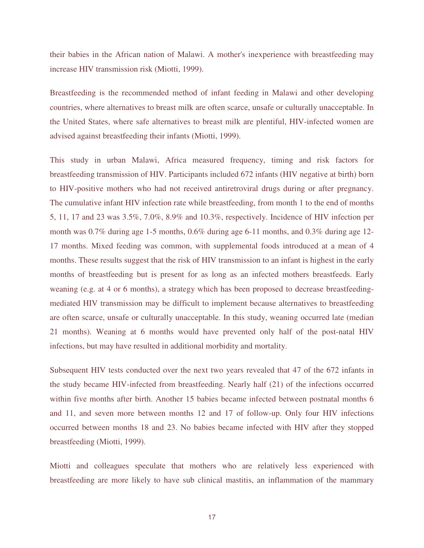their babies in the African nation of Malawi. A mother's inexperience with breastfeeding may increase HIV transmission risk (Miotti, 1999).

Breastfeeding is the recommended method of infant feeding in Malawi and other developing countries, where alternatives to breast milk are often scarce, unsafe or culturally unacceptable. In the United States, where safe alternatives to breast milk are plentiful, HIV-infected women are advised against breastfeeding their infants (Miotti, 1999).

This study in urban Malawi, Africa measured frequency, timing and risk factors for breastfeeding transmission of HIV. Participants included 672 infants (HIV negative at birth) born to HIV-positive mothers who had not received antiretroviral drugs during or after pregnancy. The cumulative infant HIV infection rate while breastfeeding, from month 1 to the end of months 5, 11, 17 and 23 was 3.5%, 7.0%, 8.9% and 10.3%, respectively. Incidence of HIV infection per month was 0.7% during age 1-5 months, 0.6% during age 6-11 months, and 0.3% during age 12- 17 months. Mixed feeding was common, with supplemental foods introduced at a mean of 4 months. These results suggest that the risk of HIV transmission to an infant is highest in the early months of breastfeeding but is present for as long as an infected mothers breastfeeds. Early weaning (e.g. at 4 or 6 months), a strategy which has been proposed to decrease breastfeedingmediated HIV transmission may be difficult to implement because alternatives to breastfeeding are often scarce, unsafe or culturally unacceptable. In this study, weaning occurred late (median 21 months). Weaning at 6 months would have prevented only half of the post-natal HIV infections, but may have resulted in additional morbidity and mortality.

Subsequent HIV tests conducted over the next two years revealed that 47 of the 672 infants in the study became HIV-infected from breastfeeding. Nearly half (21) of the infections occurred within five months after birth. Another 15 babies became infected between postnatal months 6 and 11, and seven more between months 12 and 17 of follow-up. Only four HIV infections occurred between months 18 and 23. No babies became infected with HIV after they stopped breastfeeding (Miotti, 1999).

Miotti and colleagues speculate that mothers who are relatively less experienced with breastfeeding are more likely to have sub clinical mastitis, an inflammation of the mammary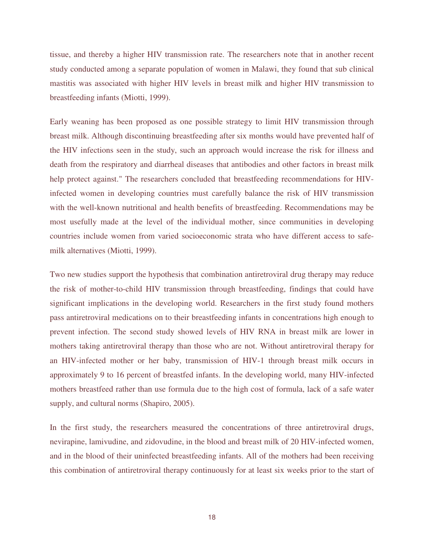tissue, and thereby a higher HIV transmission rate. The researchers note that in another recent study conducted among a separate population of women in Malawi, they found that sub clinical mastitis was associated with higher HIV levels in breast milk and higher HIV transmission to breastfeeding infants (Miotti, 1999).

Early weaning has been proposed as one possible strategy to limit HIV transmission through breast milk. Although discontinuing breastfeeding after six months would have prevented half of the HIV infections seen in the study, such an approach would increase the risk for illness and death from the respiratory and diarrheal diseases that antibodies and other factors in breast milk help protect against." The researchers concluded that breastfeeding recommendations for HIVinfected women in developing countries must carefully balance the risk of HIV transmission with the well-known nutritional and health benefits of breastfeeding. Recommendations may be most usefully made at the level of the individual mother, since communities in developing countries include women from varied socioeconomic strata who have different access to safemilk alternatives (Miotti, 1999).

Two new studies support the hypothesis that combination antiretroviral drug therapy may reduce the risk of mother-to-child HIV transmission through breastfeeding, findings that could have significant implications in the developing world. Researchers in the first study found mothers pass antiretroviral medications on to their breastfeeding infants in concentrations high enough to prevent infection. The second study showed levels of HIV RNA in breast milk are lower in mothers taking antiretroviral therapy than those who are not. Without antiretroviral therapy for an HIV-infected mother or her baby, transmission of HIV-1 through breast milk occurs in approximately 9 to 16 percent of breastfed infants. In the developing world, many HIV-infected mothers breastfeed rather than use formula due to the high cost of formula, lack of a safe water supply, and cultural norms (Shapiro, 2005).

In the first study, the researchers measured the concentrations of three antiretroviral drugs, nevirapine, lamivudine, and zidovudine, in the blood and breast milk of 20 HIV-infected women, and in the blood of their uninfected breastfeeding infants. All of the mothers had been receiving this combination of antiretroviral therapy continuously for at least six weeks prior to the start of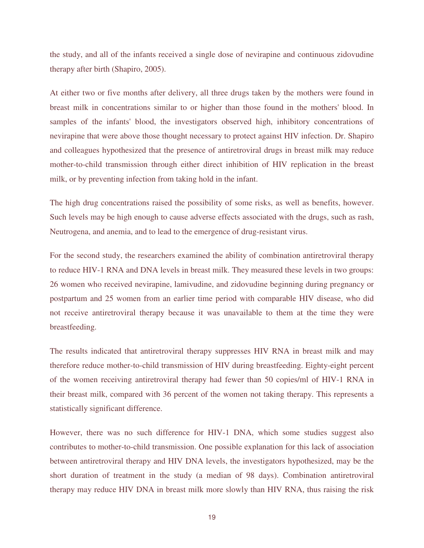the study, and all of the infants received a single dose of nevirapine and continuous zidovudine therapy after birth (Shapiro, 2005).

At either two or five months after delivery, all three drugs taken by the mothers were found in breast milk in concentrations similar to or higher than those found in the mothers' blood. In samples of the infants' blood, the investigators observed high, inhibitory concentrations of nevirapine that were above those thought necessary to protect against HIV infection. Dr. Shapiro and colleagues hypothesized that the presence of antiretroviral drugs in breast milk may reduce mother-to-child transmission through either direct inhibition of HIV replication in the breast milk, or by preventing infection from taking hold in the infant.

The high drug concentrations raised the possibility of some risks, as well as benefits, however. Such levels may be high enough to cause adverse effects associated with the drugs, such as rash, Neutrogena, and anemia, and to lead to the emergence of drug-resistant virus.

For the second study, the researchers examined the ability of combination antiretroviral therapy to reduce HIV-1 RNA and DNA levels in breast milk. They measured these levels in two groups: 26 women who received nevirapine, lamivudine, and zidovudine beginning during pregnancy or postpartum and 25 women from an earlier time period with comparable HIV disease, who did not receive antiretroviral therapy because it was unavailable to them at the time they were breastfeeding.

The results indicated that antiretroviral therapy suppresses HIV RNA in breast milk and may therefore reduce mother-to-child transmission of HIV during breastfeeding. Eighty-eight percent of the women receiving antiretroviral therapy had fewer than 50 copies/ml of HIV-1 RNA in their breast milk, compared with 36 percent of the women not taking therapy. This represents a statistically significant difference.

However, there was no such difference for HIV-1 DNA, which some studies suggest also contributes to mother-to-child transmission. One possible explanation for this lack of association between antiretroviral therapy and HIV DNA levels, the investigators hypothesized, may be the short duration of treatment in the study (a median of 98 days). Combination antiretroviral therapy may reduce HIV DNA in breast milk more slowly than HIV RNA, thus raising the risk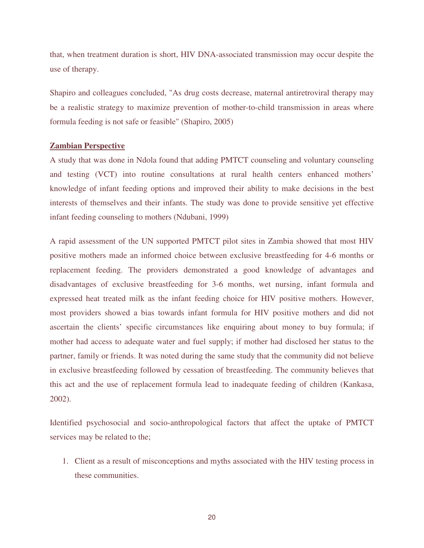that, when treatment duration is short, HIV DNA-associated transmission may occur despite the use of therapy.

Shapiro and colleagues concluded, "As drug costs decrease, maternal antiretroviral therapy may be a realistic strategy to maximize prevention of mother-to-child transmission in areas where formula feeding is not safe or feasible" (Shapiro, 2005)

#### **Zambian Perspective**

A study that was done in Ndola found that adding PMTCT counseling and voluntary counseling and testing (VCT) into routine consultations at rural health centers enhanced mothers' knowledge of infant feeding options and improved their ability to make decisions in the best interests of themselves and their infants. The study was done to provide sensitive yet effective infant feeding counseling to mothers (Ndubani, 1999)

A rapid assessment of the UN supported PMTCT pilot sites in Zambia showed that most HIV positive mothers made an informed choice between exclusive breastfeeding for 4-6 months or replacement feeding. The providers demonstrated a good knowledge of advantages and disadvantages of exclusive breastfeeding for 3-6 months, wet nursing, infant formula and expressed heat treated milk as the infant feeding choice for HIV positive mothers. However, most providers showed a bias towards infant formula for HIV positive mothers and did not ascertain the clients' specific circumstances like enquiring about money to buy formula; if mother had access to adequate water and fuel supply; if mother had disclosed her status to the partner, family or friends. It was noted during the same study that the community did not believe in exclusive breastfeeding followed by cessation of breastfeeding. The community believes that this act and the use of replacement formula lead to inadequate feeding of children (Kankasa, 2002).

Identified psychosocial and socio-anthropological factors that affect the uptake of PMTCT services may be related to the;

1. Client as a result of misconceptions and myths associated with the HIV testing process in these communities.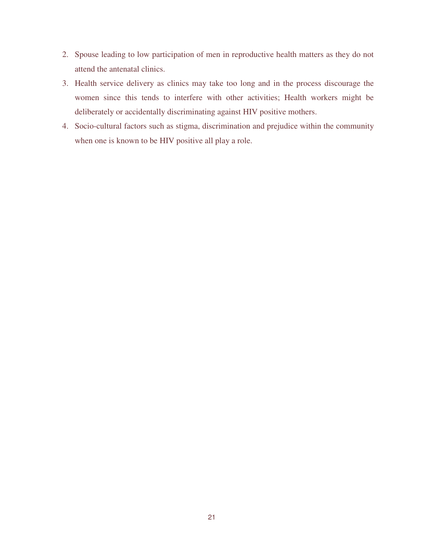- 2. Spouse leading to low participation of men in reproductive health matters as they do not attend the antenatal clinics.
- 3. Health service delivery as clinics may take too long and in the process discourage the women since this tends to interfere with other activities; Health workers might be deliberately or accidentally discriminating against HIV positive mothers.
- 4. Socio-cultural factors such as stigma, discrimination and prejudice within the community when one is known to be HIV positive all play a role.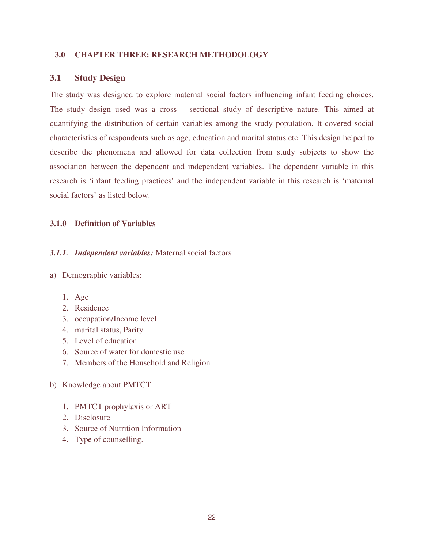### **3.0 CHAPTER THREE: RESEARCH METHODOLOGY**

### **3.1 Study Design**

The study was designed to explore maternal social factors influencing infant feeding choices. The study design used was a cross – sectional study of descriptive nature. This aimed at quantifying the distribution of certain variables among the study population. It covered social characteristics of respondents such as age, education and marital status etc. This design helped to describe the phenomena and allowed for data collection from study subjects to show the association between the dependent and independent variables. The dependent variable in this research is 'infant feeding practices' and the independent variable in this research is 'maternal social factors' as listed below.

### **3.1.0 Definition of Variables**

### *3.1.1. Independent variables:* Maternal social factors

- a) Demographic variables:
	- 1. Age
	- 2. Residence
	- 3. occupation/Income level
	- 4. marital status, Parity
	- 5. Level of education
	- 6. Source of water for domestic use
	- 7. Members of the Household and Religion
- b) Knowledge about PMTCT
	- 1. PMTCT prophylaxis or ART
	- 2. Disclosure
	- 3. Source of Nutrition Information
	- 4. Type of counselling.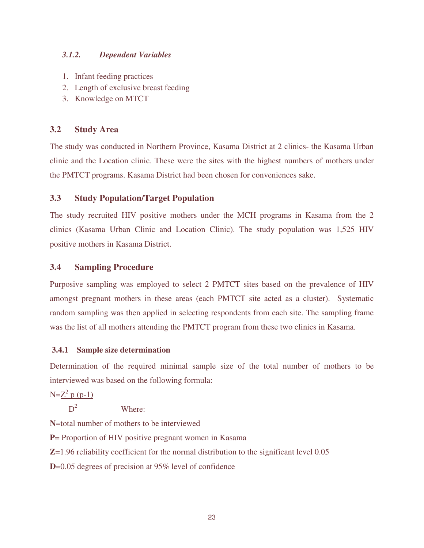### *3.1.2. Dependent Variables*

- 1. Infant feeding practices
- 2. Length of exclusive breast feeding
- 3. Knowledge on MTCT

## **3.2 Study Area**

The study was conducted in Northern Province, Kasama District at 2 clinics- the Kasama Urban clinic and the Location clinic. These were the sites with the highest numbers of mothers under the PMTCT programs. Kasama District had been chosen for conveniences sake.

## **3.3 Study Population/Target Population**

The study recruited HIV positive mothers under the MCH programs in Kasama from the 2 clinics (Kasama Urban Clinic and Location Clinic). The study population was 1,525 HIV positive mothers in Kasama District.

## **3.4 Sampling Procedure**

Purposive sampling was employed to select 2 PMTCT sites based on the prevalence of HIV amongst pregnant mothers in these areas (each PMTCT site acted as a cluster). Systematic random sampling was then applied in selecting respondents from each site. The sampling frame was the list of all mothers attending the PMTCT program from these two clinics in Kasama.

## **3.4.1 Sample size determination**

Determination of the required minimal sample size of the total number of mothers to be interviewed was based on the following formula:

 $N = Z^2 p (p-1)$ 

 $D<sup>2</sup>$ Where:

**N**=total number of mothers to be interviewed

**P**= Proportion of HIV positive pregnant women in Kasama

**Z**=1.96 reliability coefficient for the normal distribution to the significant level 0.05

**D**=0.05 degrees of precision at 95% level of confidence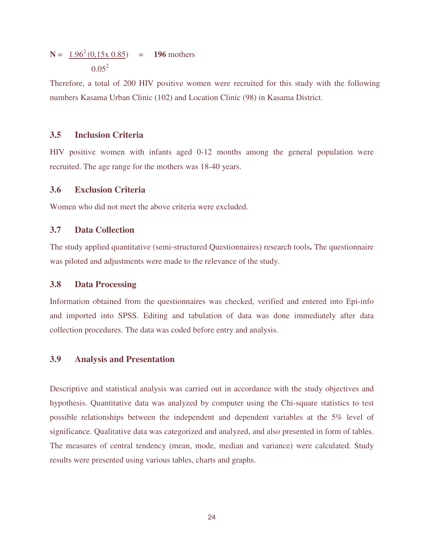$$
N = 1.962 (0.15x 0.85) = 196
$$
 mothers  
0.05<sup>2</sup>

Therefore, a total of 200 HIV positive women were recruited for this study with the following numbers Kasama Urban Clinic (102) and Location Clinic (98) in Kasama District.

### **3.5 Inclusion Criteria**

HIV positive women with infants aged 0-12 months among the general population were recruited. The age range for the mothers was 18-40 years.

### **3.6 Exclusion Criteria**

Women who did not meet the above criteria were excluded.

## **3.7 Data Collection**

The study applied quantitative (semi-structured Questionnaires) research tools**.** The questionnaire was piloted and adjustments were made to the relevance of the study.

### **3.8 Data Processing**

Information obtained from the questionnaires was checked, verified and entered into Epi-info and imported into SPSS. Editing and tabulation of data was done immediately after data collection procedures. The data was coded before entry and analysis.

### **3.9 Analysis and Presentation**

Descriptive and statistical analysis was carried out in accordance with the study objectives and hypothesis. Quantitative data was analyzed by computer using the Chi-square statistics to test possible relationships between the independent and dependent variables at the 5% level of significance. Qualitative data was categorized and analyzed, and also presented in form of tables. The measures of central tendency (mean, mode, median and variance) were calculated. Study results were presented using various tables, charts and graphs.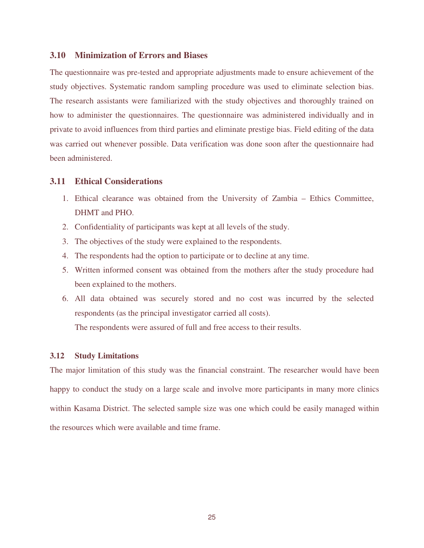### **3.10 Minimization of Errors and Biases**

The questionnaire was pre-tested and appropriate adjustments made to ensure achievement of the study objectives. Systematic random sampling procedure was used to eliminate selection bias. The research assistants were familiarized with the study objectives and thoroughly trained on how to administer the questionnaires. The questionnaire was administered individually and in private to avoid influences from third parties and eliminate prestige bias. Field editing of the data was carried out whenever possible. Data verification was done soon after the questionnaire had been administered.

#### **3.11 Ethical Considerations**

- 1. Ethical clearance was obtained from the University of Zambia Ethics Committee, DHMT and PHO.
- 2. Confidentiality of participants was kept at all levels of the study.
- 3. The objectives of the study were explained to the respondents.
- 4. The respondents had the option to participate or to decline at any time.
- 5. Written informed consent was obtained from the mothers after the study procedure had been explained to the mothers.
- 6. All data obtained was securely stored and no cost was incurred by the selected respondents (as the principal investigator carried all costs).

The respondents were assured of full and free access to their results.

#### **3.12 Study Limitations**

The major limitation of this study was the financial constraint. The researcher would have been happy to conduct the study on a large scale and involve more participants in many more clinics within Kasama District. The selected sample size was one which could be easily managed within the resources which were available and time frame.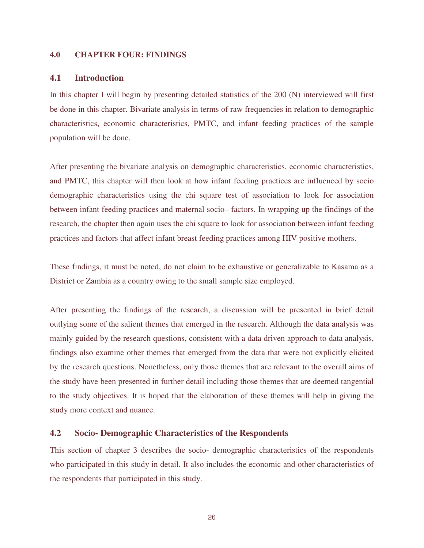### **4.0 CHAPTER FOUR: FINDINGS**

#### **4.1 Introduction**

In this chapter I will begin by presenting detailed statistics of the 200 (N) interviewed will first be done in this chapter. Bivariate analysis in terms of raw frequencies in relation to demographic characteristics, economic characteristics, PMTC, and infant feeding practices of the sample population will be done.

After presenting the bivariate analysis on demographic characteristics, economic characteristics, and PMTC, this chapter will then look at how infant feeding practices are influenced by socio demographic characteristics using the chi square test of association to look for association between infant feeding practices and maternal socio– factors. In wrapping up the findings of the research, the chapter then again uses the chi square to look for association between infant feeding practices and factors that affect infant breast feeding practices among HIV positive mothers.

These findings, it must be noted, do not claim to be exhaustive or generalizable to Kasama as a District or Zambia as a country owing to the small sample size employed.

After presenting the findings of the research, a discussion will be presented in brief detail outlying some of the salient themes that emerged in the research. Although the data analysis was mainly guided by the research questions, consistent with a data driven approach to data analysis, findings also examine other themes that emerged from the data that were not explicitly elicited by the research questions. Nonetheless, only those themes that are relevant to the overall aims of the study have been presented in further detail including those themes that are deemed tangential to the study objectives. It is hoped that the elaboration of these themes will help in giving the study more context and nuance.

### **4.2 Socio- Demographic Characteristics of the Respondents**

This section of chapter 3 describes the socio- demographic characteristics of the respondents who participated in this study in detail. It also includes the economic and other characteristics of the respondents that participated in this study.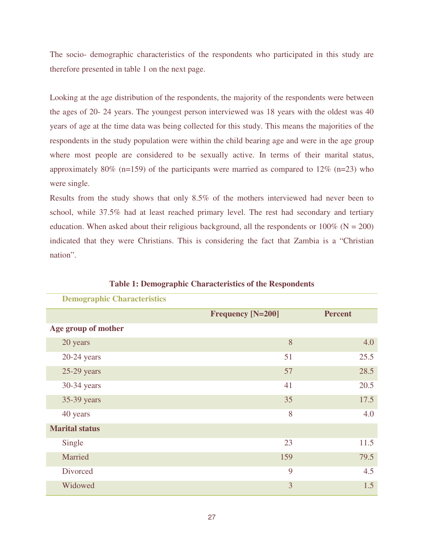The socio- demographic characteristics of the respondents who participated in this study are therefore presented in table 1 on the next page.

Looking at the age distribution of the respondents, the majority of the respondents were between the ages of 20- 24 years. The youngest person interviewed was 18 years with the oldest was 40 years of age at the time data was being collected for this study. This means the majorities of the respondents in the study population were within the child bearing age and were in the age group where most people are considered to be sexually active. In terms of their marital status, approximately 80% (n=159) of the participants were married as compared to  $12\%$  (n=23) who were single.

Results from the study shows that only 8.5% of the mothers interviewed had never been to school, while 37.5% had at least reached primary level. The rest had secondary and tertiary education. When asked about their religious background, all the respondents or  $100\%$  (N = 200) indicated that they were Christians. This is considering the fact that Zambia is a "Christian nation".

| Denne Chai acteristics |                          |                |
|------------------------|--------------------------|----------------|
|                        | <b>Frequency [N=200]</b> | <b>Percent</b> |
| Age group of mother    |                          |                |
| 20 years               | 8                        | 4.0            |
| $20-24$ years          | 51                       | 25.5           |
| $25-29$ years          | 57                       | 28.5           |
| 30-34 years            | 41                       | 20.5           |
| 35-39 years            | 35                       | 17.5           |
| 40 years               | 8                        | 4.0            |
| <b>Marital status</b>  |                          |                |
| Single                 | 23                       | 11.5           |
| Married                | 159                      | 79.5           |
| Divorced               | 9                        | 4.5            |
| Widowed                | 3                        | 1.5            |

**Table 1: Demographic Characteristics of the Respondents** 

 **Demographic Characteristics**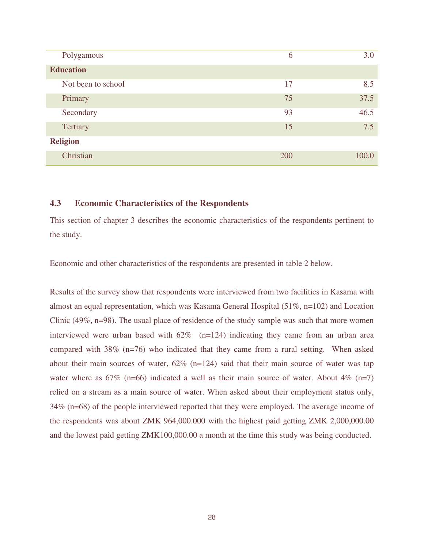| Polygamous         | 6   | 3.0   |
|--------------------|-----|-------|
| <b>Education</b>   |     |       |
| Not been to school | 17  | 8.5   |
| Primary            | 75  | 37.5  |
| Secondary          | 93  | 46.5  |
| Tertiary           | 15  | 7.5   |
| <b>Religion</b>    |     |       |
| Christian          | 200 | 100.0 |

### **4.3 Economic Characteristics of the Respondents**

This section of chapter 3 describes the economic characteristics of the respondents pertinent to the study.

Economic and other characteristics of the respondents are presented in table 2 below.

Results of the survey show that respondents were interviewed from two facilities in Kasama with almost an equal representation, which was Kasama General Hospital (51%, n=102) and Location Clinic (49%, n=98). The usual place of residence of the study sample was such that more women interviewed were urban based with  $62\%$  (n=124) indicating they came from an urban area compared with 38% (n=76) who indicated that they came from a rural setting. When asked about their main sources of water,  $62\%$  (n=124) said that their main source of water was tap water where as  $67\%$  (n=66) indicated a well as their main source of water. About  $4\%$  (n=7) relied on a stream as a main source of water. When asked about their employment status only, 34% (n=68) of the people interviewed reported that they were employed. The average income of the respondents was about ZMK 964,000.000 with the highest paid getting ZMK 2,000,000.00 and the lowest paid getting ZMK100,000.00 a month at the time this study was being conducted.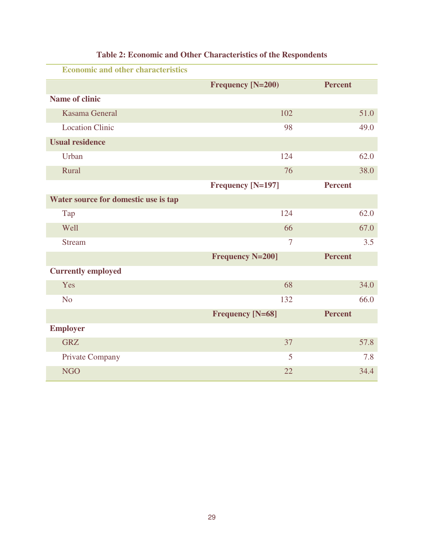| <b>Economic and other characteristics</b> |                          |                |      |
|-------------------------------------------|--------------------------|----------------|------|
|                                           | Frequency [N=200)        | <b>Percent</b> |      |
| <b>Name of clinic</b>                     |                          |                |      |
| <b>Kasama General</b>                     | 102                      |                | 51.0 |
| <b>Location Clinic</b>                    | 98                       |                | 49.0 |
| <b>Usual residence</b>                    |                          |                |      |
| Urban                                     | 124                      |                | 62.0 |
| Rural                                     | 76                       |                | 38.0 |
|                                           | <b>Frequency [N=197]</b> | <b>Percent</b> |      |
| Water source for domestic use is tap      |                          |                |      |
| Tap                                       | 124                      |                | 62.0 |
| Well                                      | 66                       |                | 67.0 |
| <b>Stream</b>                             | $\tau$                   |                | 3.5  |
|                                           | <b>Frequency N=200]</b>  | <b>Percent</b> |      |
| <b>Currently employed</b>                 |                          |                |      |
| Yes                                       | 68                       |                | 34.0 |
| N <sub>o</sub>                            | 132                      |                | 66.0 |
|                                           | <b>Frequency [N=68]</b>  | <b>Percent</b> |      |
| <b>Employer</b>                           |                          |                |      |
| <b>GRZ</b>                                | 37                       |                | 57.8 |
| <b>Private Company</b>                    | 5                        |                | 7.8  |
| <b>NGO</b>                                | 22                       |                | 34.4 |

# **Table 2: Economic and Other Characteristics of the Respondents**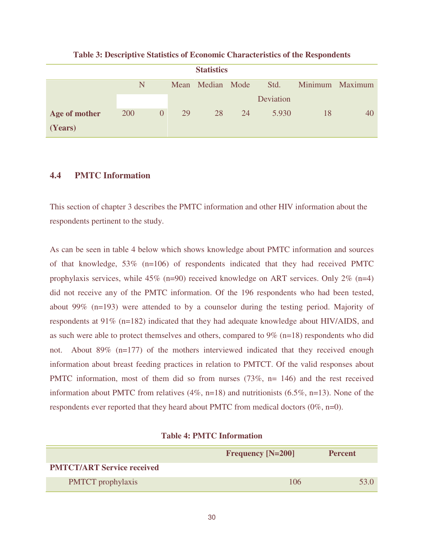| <b>Statistics</b> |            |                |    |                  |    |           |    |                 |
|-------------------|------------|----------------|----|------------------|----|-----------|----|-----------------|
|                   | N          |                |    | Mean Median Mode |    | Std.      |    | Minimum Maximum |
|                   |            |                |    |                  |    | Deviation |    |                 |
| Age of mother     | <b>200</b> | $\overline{0}$ | 29 | 28               | 24 | 5.930     | 18 | 40              |
| (Years)           |            |                |    |                  |    |           |    |                 |

**Table 3: Descriptive Statistics of Economic Characteristics of the Respondents** 

## **4.4 PMTC Information**

This section of chapter 3 describes the PMTC information and other HIV information about the respondents pertinent to the study.

As can be seen in table 4 below which shows knowledge about PMTC information and sources of that knowledge, 53% (n=106) of respondents indicated that they had received PMTC prophylaxis services, while 45% (n=90) received knowledge on ART services. Only 2% (n=4) did not receive any of the PMTC information. Of the 196 respondents who had been tested, about 99% ( $n=193$ ) were attended to by a counselor during the testing period. Majority of respondents at 91% (n=182) indicated that they had adequate knowledge about HIV/AIDS, and as such were able to protect themselves and others, compared to  $9\%$  (n=18) respondents who did not. About 89% (n=177) of the mothers interviewed indicated that they received enough information about breast feeding practices in relation to PMTCT. Of the valid responses about PMTC information, most of them did so from nurses (73%, n= 146) and the rest received information about PMTC from relatives (4%, n=18) and nutritionists (6.5%, n=13). None of the respondents ever reported that they heard about PMTC from medical doctors (0%, n=0).

|                                   | <b>Frequency [N=200]</b> | <b>Percent</b> |
|-----------------------------------|--------------------------|----------------|
| <b>PMTCT/ART Service received</b> |                          |                |
| <b>PMTCT</b> prophylaxis          | 106                      | 53 N           |

#### **Table 4: PMTC Information**